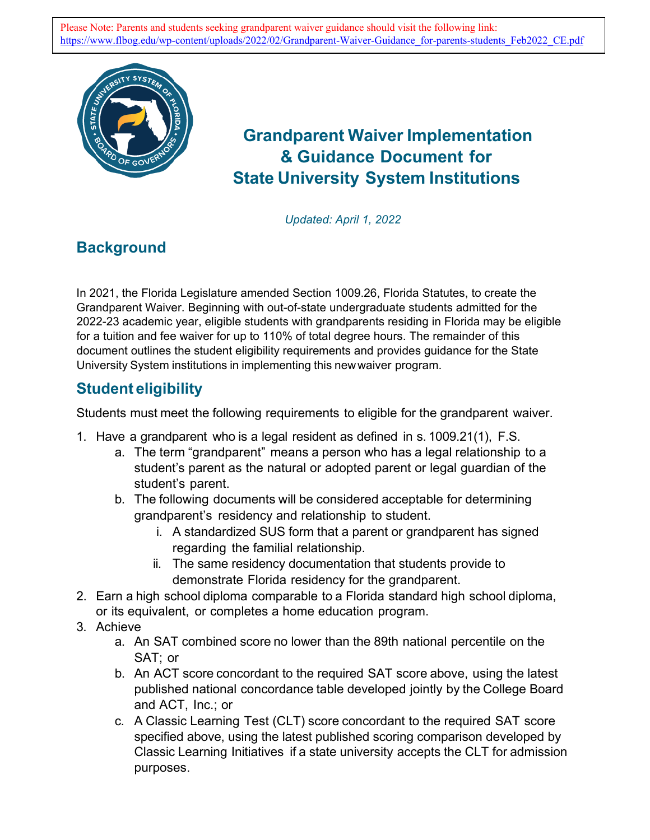

# **Grandparent Waiver Implementation & Guidance Document for State University System Institutions**

*Updated: April 1, 2022*

## **Background**

In 2021, the Florida Legislature amended Section 1009.26, Florida Statutes, to create the Grandparent Waiver. Beginning with out-of-state undergraduate students admitted for the 2022-23 academic year, eligible students with grandparents residing in Florida may be eligible for a tuition and fee waiver for up to 110% of total degree hours. The remainder of this document outlines the student eligibility requirements and provides guidance for the State University System institutions in implementing this newwaiver program.

### **Student eligibility**

Students must meet the following requirements to eligible for the grandparent waiver.

- 1. Have a grandparent who is a legal resident as defined in s. 1009.21(1), F.S.
	- a. The term "grandparent" means a person who has a legal relationship to a student's parent as the natural or adopted parent or legal guardian of the student's parent.
	- b. The following documents will be considered acceptable for determining grandparent's residency and relationship to student.
		- i. A standardized SUS form that a parent or grandparent has signed regarding the familial relationship.
		- ii. The same residency documentation that students provide to demonstrate Florida residency for the grandparent.
- 2. Earn a high school diploma comparable to a Florida standard high school diploma, or its equivalent, or completes a home education program.
- 3. Achieve
	- a. An SAT combined score no lower than the 89th national percentile on the SAT; or
	- b. An ACT score concordant to the required SAT score above, using the latest published national concordance table developed jointly by the College Board and ACT, Inc.; or
	- c. A Classic Learning Test (CLT) score concordant to the required SAT score specified above, using the latest published scoring comparison developed by Classic Learning Initiatives if a state university accepts the CLT for admission purposes.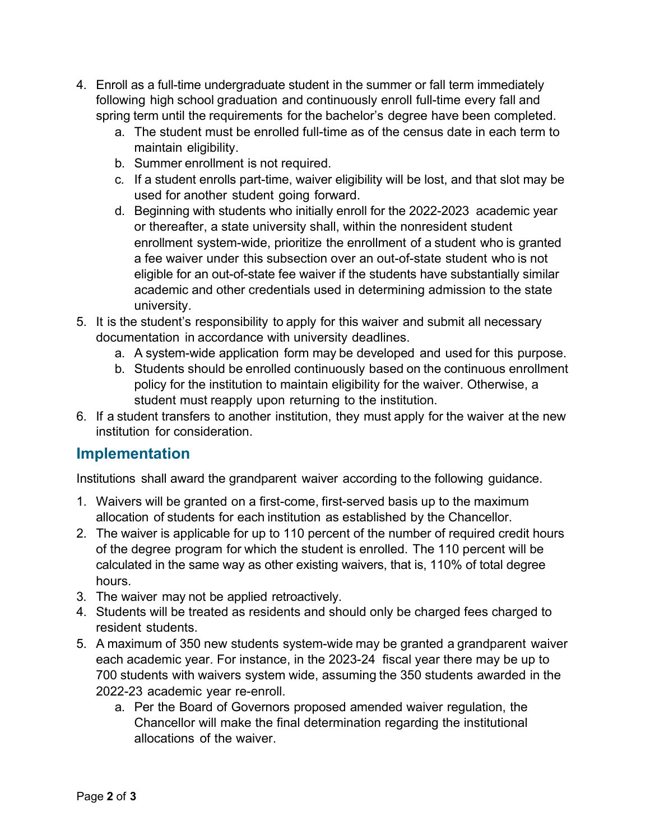- 4. Enroll as a full-time undergraduate student in the summer or fall term immediately following high school graduation and continuously enroll full-time every fall and spring term until the requirements for the bachelor's degree have been completed.
	- a. The student must be enrolled full-time as of the census date in each term to maintain eligibility.
	- b. Summer enrollment is not required.
	- c. If a student enrolls part-time, waiver eligibility will be lost, and that slot may be used for another student going forward.
	- d. Beginning with students who initially enroll for the 2022-2023 academic year or thereafter, a state university shall, within the nonresident student enrollment system-wide, prioritize the enrollment of a student who is granted a fee waiver under this subsection over an out-of-state student who is not eligible for an out-of-state fee waiver if the students have substantially similar academic and other credentials used in determining admission to the state university.
- 5. It is the student's responsibility to apply for this waiver and submit all necessary documentation in accordance with university deadlines.
	- a. A system-wide application form may be developed and used for this purpose.
	- b. Students should be enrolled continuously based on the continuous enrollment policy for the institution to maintain eligibility for the waiver. Otherwise, a student must reapply upon returning to the institution.
- 6. If a student transfers to another institution, they must apply for the waiver at the new institution for consideration.

#### **Implementation**

Institutions shall award the grandparent waiver according to the following guidance.

- 1. Waivers will be granted on a first-come, first-served basis up to the maximum allocation of students for each institution as established by the Chancellor.
- 2. The waiver is applicable for up to 110 percent of the number of required credit hours of the degree program for which the student is enrolled. The 110 percent will be calculated in the same way as other existing waivers, that is, 110% of total degree hours.
- 3. The waiver may not be applied retroactively.
- 4. Students will be treated as residents and should only be charged fees charged to resident students.
- 5. A maximum of 350 new students system-wide may be granted a grandparent waiver each academic year. For instance, in the 2023-24 fiscal year there may be up to 700 students with waivers system wide, assuming the 350 students awarded in the 2022-23 academic year re-enroll.
	- a. Per the Board of Governors proposed amended waiver regulation, the Chancellor will make the final determination regarding the institutional allocations of the waiver.